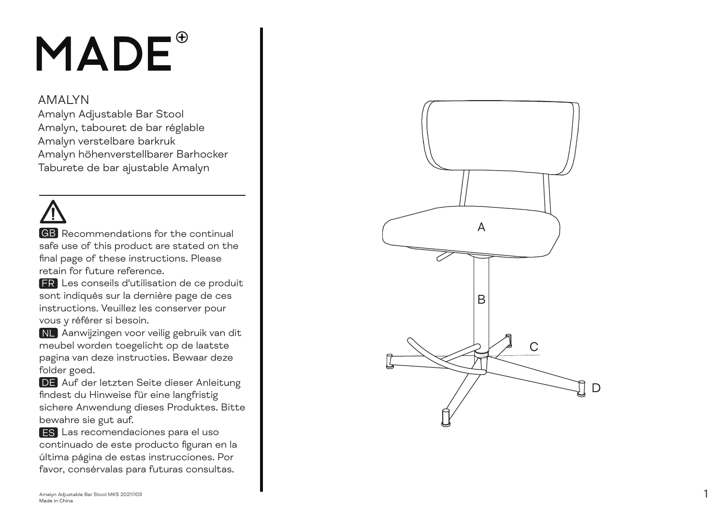## MADE<sup>®</sup>

## AMALYN

Amalyn Adjustable Bar Stool Amalyn, tabouret de bar réglable Amalyn verstelbare barkruk Amalyn höhenverstellbarer Barhocker Taburete de bar ajustable Amalyn

**GB** Recommendations for the continual safe use of this product are stated on the final page of these instructions. Please retain for future reference.

 Les conseils d'utilisation de ce produit FR sont indiqués sur la dernière page de ces instructions. Veuillez les conserver pour vous y référer si besoin.

 Aanwijzingen voor veilig gebruik van dit NL meubel worden toegelicht op de laatste pagina van deze instructies. Bewaar deze folder goed.

**DE** Auf der letzten Seite dieser Anleitung findest du Hinweise für eine langfristig sichere Anwendung dieses Produktes. Bitte bewahre sie gut auf.

 Las recomendaciones para el uso EScontinuado de este producto figuran en la última página de estas instrucciones. Por favor, consérvalas para futuras consultas.

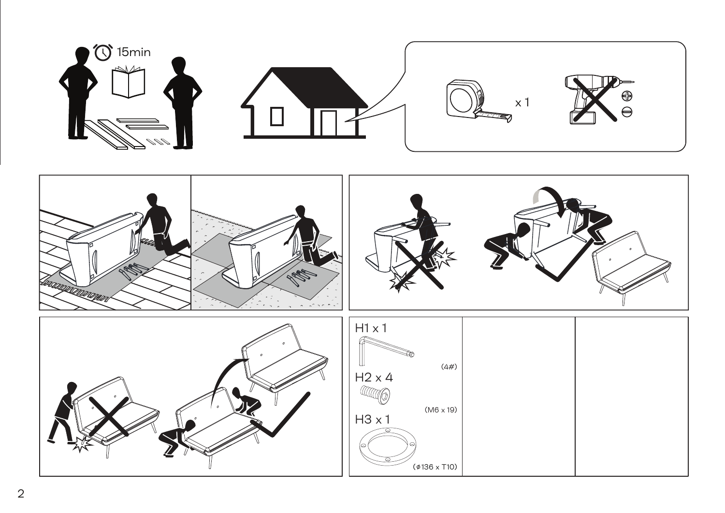

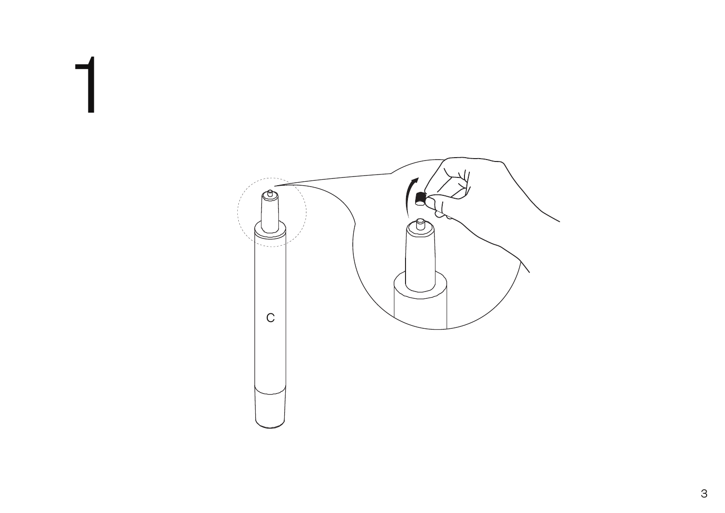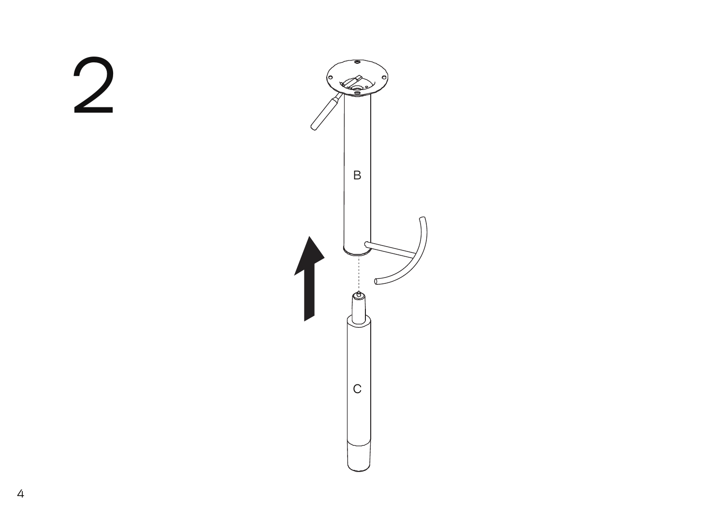

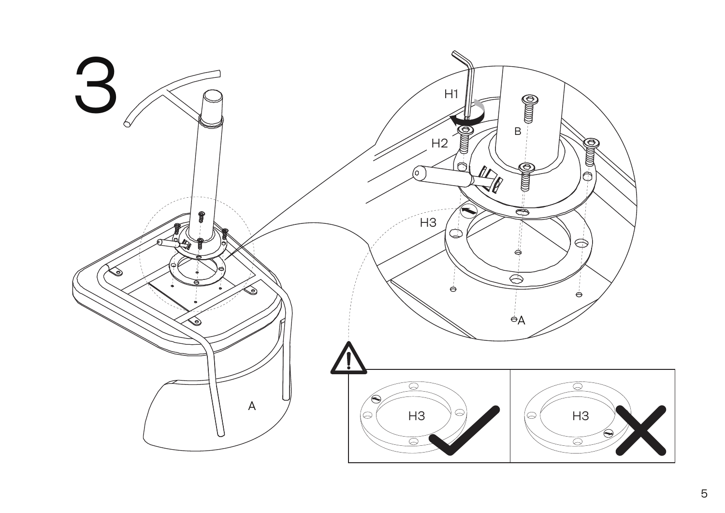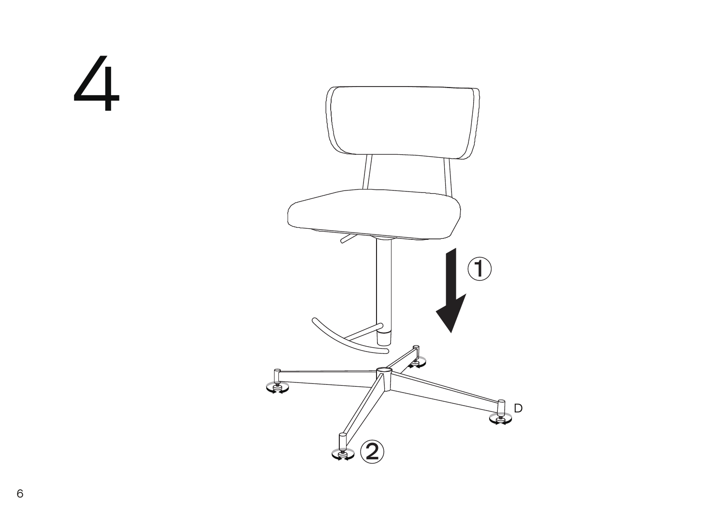4